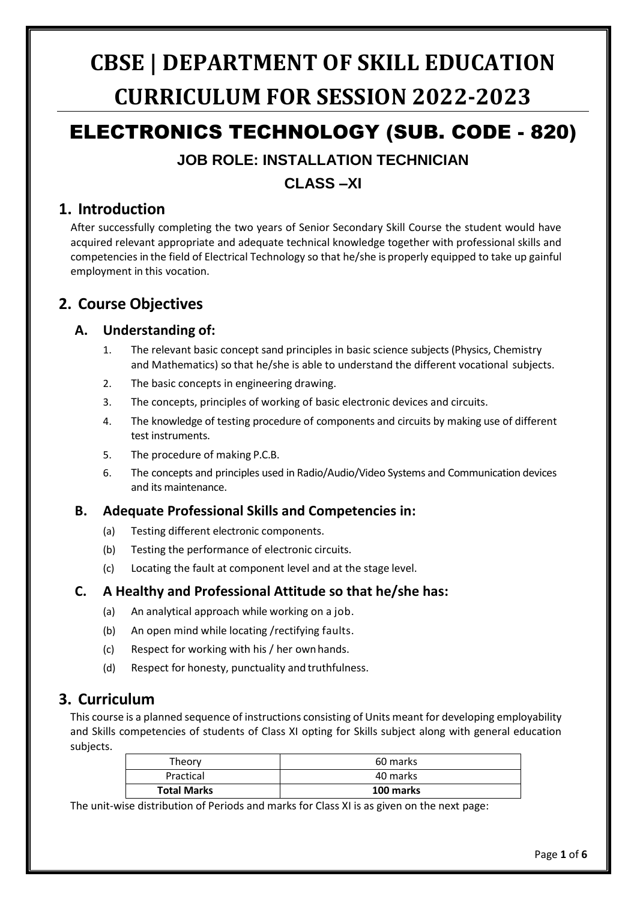# **CBSE | DEPARTMENT OF SKILL EDUCATION CURRICULUM FOR SESSION 2022-2023**

# ELECTRONICS TECHNOLOGY (SUB. CODE - 820)

### **JOB ROLE: INSTALLATION TECHNICIAN CLASS –XI**

### **1. Introduction**

After successfully completing the two years of Senior Secondary Skill Course the student would have acquired relevant appropriate and adequate technical knowledge together with professional skills and competencies in the field of Electrical Technology so that he/she is properly equipped to take up gainful employment in this vocation.

# **2. Course Objectives**

#### **A. Understanding of:**

- 1. The relevant basic concept sand principles in basic science subjects (Physics, Chemistry and Mathematics) so that he/she is able to understand the different vocational subjects.
- 2. The basic concepts in engineering drawing.
- 3. The concepts, principles of working of basic electronic devices and circuits.
- 4. The knowledge of testing procedure of components and circuits by making use of different test instruments.
- 5. The procedure of making P.C.B.
- 6. The concepts and principles used in Radio/Audio/Video Systems and Communication devices and its maintenance.

#### **B. Adequate Professional Skills and Competencies in:**

- (a) Testing different electronic components.
- (b) Testing the performance of electronic circuits.
- (c) Locating the fault at component level and at the stage level.

#### **C. A Healthy and Professional Attitude so that he/she has:**

- (a) An analytical approach while working on a job.
- (b) An open mind while locating /rectifying faults.
- (c) Respect for working with his / her ownhands.
- (d) Respect for honesty, punctuality and truthfulness.

#### **3. Curriculum**

This course is a planned sequence of instructions consisting of Units meant for developing employability and Skills competencies of students of Class XI opting for Skills subject along with general education subjects.

| Theory             | 60 marks  |
|--------------------|-----------|
| Practical          | 40 marks  |
| <b>Total Marks</b> | 100 marks |

The unit-wise distribution of Periods and marks for Class XI is as given on the next page: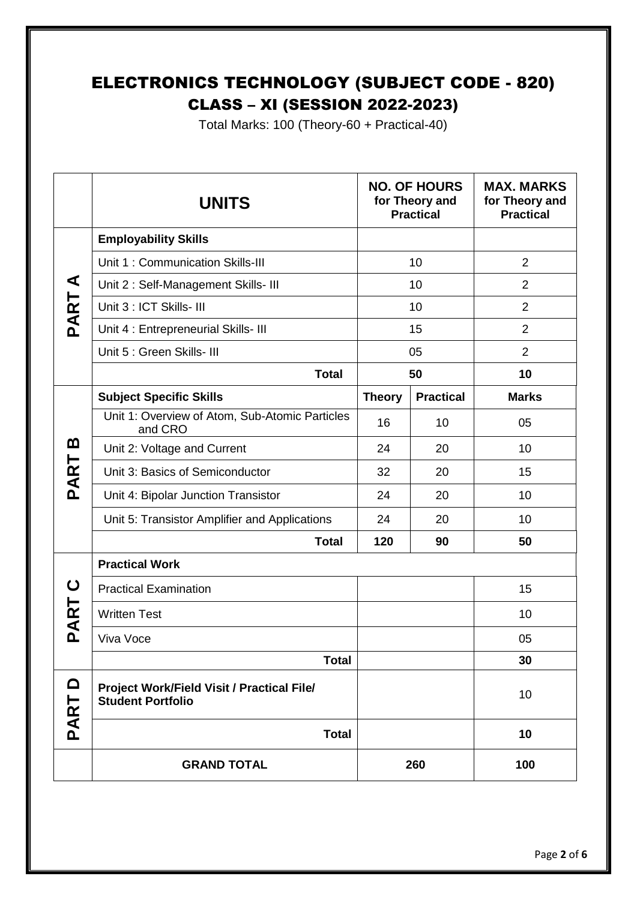# ELECTRONICS TECHNOLOGY (SUBJECT CODE - 820) CLASS – XI (SESSION 2022-2023)

Total Marks: 100 (Theory-60 + Practical-40)

|                         | <b>UNITS</b>                                                           | <b>NO. OF HOURS</b><br>for Theory and<br><b>Practical</b> |                  | <b>MAX. MARKS</b><br>for Theory and<br><b>Practical</b> |  |
|-------------------------|------------------------------------------------------------------------|-----------------------------------------------------------|------------------|---------------------------------------------------------|--|
| ⋖<br>PART               | <b>Employability Skills</b>                                            |                                                           |                  |                                                         |  |
|                         | Unit 1: Communication Skills-III                                       | 10                                                        |                  | $\overline{2}$                                          |  |
|                         | Unit 2: Self-Management Skills- III                                    | 10                                                        |                  | $\overline{2}$                                          |  |
|                         | Unit 3 : ICT Skills- III                                               | 10                                                        |                  | $\overline{2}$                                          |  |
|                         | Unit 4 : Entrepreneurial Skills- III                                   | 15                                                        |                  | $\overline{2}$                                          |  |
|                         | Unit 5 : Green Skills- III                                             | 05                                                        |                  | $\overline{2}$                                          |  |
|                         | <b>Total</b>                                                           | 50                                                        |                  | 10                                                      |  |
|                         | <b>Subject Specific Skills</b>                                         | <b>Theory</b>                                             | <b>Practical</b> | <b>Marks</b>                                            |  |
| <u>ന</u><br><b>PART</b> | Unit 1: Overview of Atom, Sub-Atomic Particles<br>and CRO              | 16                                                        | 10               | 05                                                      |  |
|                         | Unit 2: Voltage and Current                                            | 24                                                        | 20               | 10                                                      |  |
|                         | Unit 3: Basics of Semiconductor                                        | 32                                                        | 20               | 15                                                      |  |
|                         | Unit 4: Bipolar Junction Transistor                                    | 24                                                        | 20               | 10                                                      |  |
|                         | Unit 5: Transistor Amplifier and Applications                          | 24                                                        | 20               | 10                                                      |  |
|                         | <b>Total</b>                                                           | 120                                                       | 90               | 50                                                      |  |
|                         | <b>Practical Work</b>                                                  |                                                           |                  |                                                         |  |
| <b>ART</b>              | <b>Practical Examination</b>                                           |                                                           |                  | 15                                                      |  |
|                         | <b>Written Test</b>                                                    |                                                           |                  | 10                                                      |  |
| ۛ൧                      | Viva Voce                                                              |                                                           |                  | 05                                                      |  |
|                         | <b>Total</b>                                                           |                                                           |                  | 30                                                      |  |
| <b>0</b><br><b>PART</b> | Project Work/Field Visit / Practical File/<br><b>Student Portfolio</b> |                                                           |                  | 10                                                      |  |
|                         | <b>Total</b>                                                           |                                                           |                  | 10                                                      |  |
|                         | <b>GRAND TOTAL</b>                                                     | 260                                                       |                  | 100                                                     |  |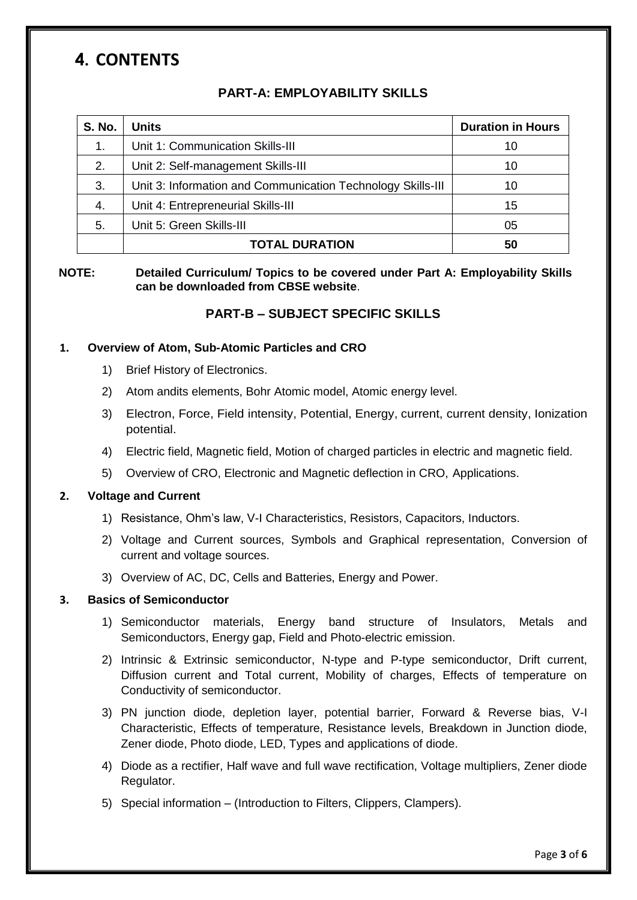# **4. CONTENTS**

#### **PART-A: EMPLOYABILITY SKILLS**

| <b>S. No.</b> | <b>Units</b>                                                | <b>Duration in Hours</b> |
|---------------|-------------------------------------------------------------|--------------------------|
| 1.            | Unit 1: Communication Skills-III                            | 10                       |
| 2.            | Unit 2: Self-management Skills-III                          | 10                       |
| 3.            | Unit 3: Information and Communication Technology Skills-III | 10                       |
| 4.            | Unit 4: Entrepreneurial Skills-III                          | 15                       |
| 5.            | Unit 5: Green Skills-III                                    | 05                       |
|               | <b>TOTAL DURATION</b>                                       | 50                       |

#### **NOTE: Detailed Curriculum/ Topics to be covered under Part A: Employability Skills can be downloaded from CBSE website**.

#### **PART-B – SUBJECT SPECIFIC SKILLS**

#### **1. Overview of Atom, Sub-Atomic Particles and CRO**

- 1) Brief History of Electronics.
- 2) Atom andits elements, Bohr Atomic model, Atomic energy level.
- 3) Electron, Force, Field intensity, Potential, Energy, current, current density, Ionization potential.
- 4) Electric field, Magnetic field, Motion of charged particles in electric and magnetic field.
- 5) Overview of CRO, Electronic and Magnetic deflection in CRO, Applications.

#### **2. Voltage and Current**

- 1) Resistance, Ohm's law, V-I Characteristics, Resistors, Capacitors, Inductors.
- 2) Voltage and Current sources, Symbols and Graphical representation, Conversion of current and voltage sources.
- 3) Overview of AC, DC, Cells and Batteries, Energy and Power.

#### **3. Basics of Semiconductor**

- 1) Semiconductor materials, Energy band structure of Insulators, Metals and Semiconductors, Energy gap, Field and Photo-electric emission.
- 2) Intrinsic & Extrinsic semiconductor, N-type and P-type semiconductor, Drift current, Diffusion current and Total current, Mobility of charges, Effects of temperature on Conductivity of semiconductor.
- 3) PN junction diode, depletion layer, potential barrier, Forward & Reverse bias, V-I Characteristic, Effects of temperature, Resistance levels, Breakdown in Junction diode, Zener diode, Photo diode, LED, Types and applications of diode.
- 4) Diode as a rectifier, Half wave and full wave rectification, Voltage multipliers, Zener diode Regulator.
- 5) Special information (Introduction to Filters, Clippers, Clampers).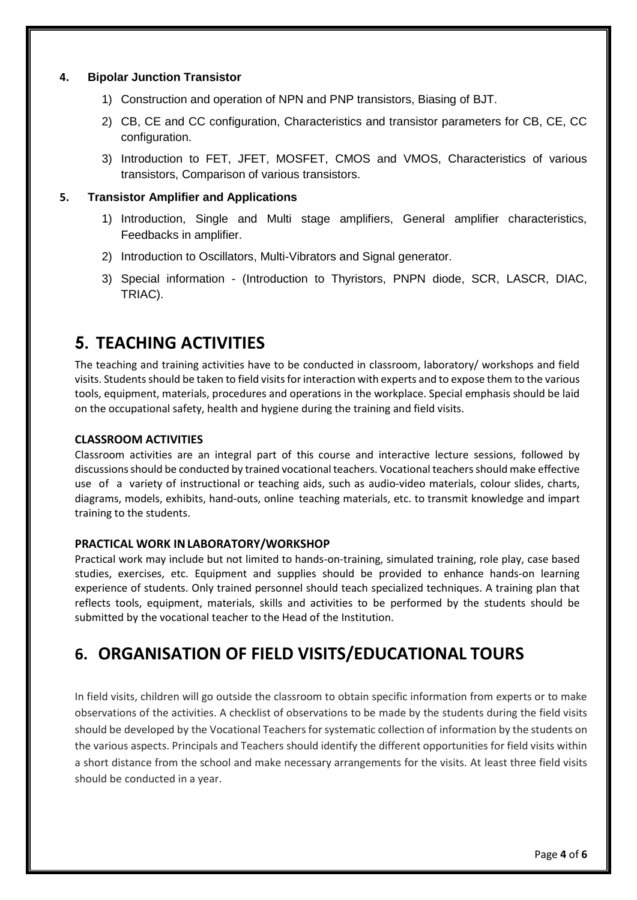#### **4. Bipolar Junction Transistor**

- 1) Construction and operation of NPN and PNP transistors, Biasing of BJT.
- 2) CB, CE and CC configuration, Characteristics and transistor parameters for CB, CE, CC configuration.
- 3) Introduction to FET, JFET, MOSFET, CMOS and VMOS, Characteristics of various transistors, Comparison of various transistors.

#### **5. Transistor Amplifier and Applications**

- 1) Introduction, Single and Multi stage amplifiers, General amplifier characteristics, Feedbacks in amplifier.
- 2) Introduction to Oscillators, Multi-Vibrators and Signal generator.
- 3) Special information (Introduction to Thyristors, PNPN diode, SCR, LASCR, DIAC, TRIAC).

# **5. TEACHING ACTIVITIES**

The teaching and training activities have to be conducted in classroom, laboratory/ workshops and field visits. Students should be taken to field visits for interaction with experts and to expose them to the various tools, equipment, materials, procedures and operations in the workplace. Special emphasis should be laid on the occupational safety, health and hygiene during the training and field visits.

#### **CLASSROOM ACTIVITIES**

Classroom activities are an integral part of this course and interactive lecture sessions, followed by discussions should be conducted by trained vocational teachers. Vocational teachers should make effective use of a variety of instructional or teaching aids, such as audio-video materials, colour slides, charts, diagrams, models, exhibits, hand-outs, online teaching materials, etc. to transmit knowledge and impart training to the students.

#### **PRACTICAL WORK INLABORATORY/WORKSHOP**

Practical work may include but not limited to hands-on-training, simulated training, role play, case based studies, exercises, etc. Equipment and supplies should be provided to enhance hands-on learning experience of students. Only trained personnel should teach specialized techniques. A training plan that reflects tools, equipment, materials, skills and activities to be performed by the students should be submitted by the vocational teacher to the Head of the Institution.

# **6. ORGANISATION OF FIELD VISITS/EDUCATIONAL TOURS**

In field visits, children will go outside the classroom to obtain specific information from experts or to make observations of the activities. A checklist of observations to be made by the students during the field visits should be developed by the Vocational Teachers for systematic collection of information by the students on the various aspects. Principals and Teachers should identify the different opportunities for field visits within a short distance from the school and make necessary arrangements for the visits. At least three field visits should be conducted in a year.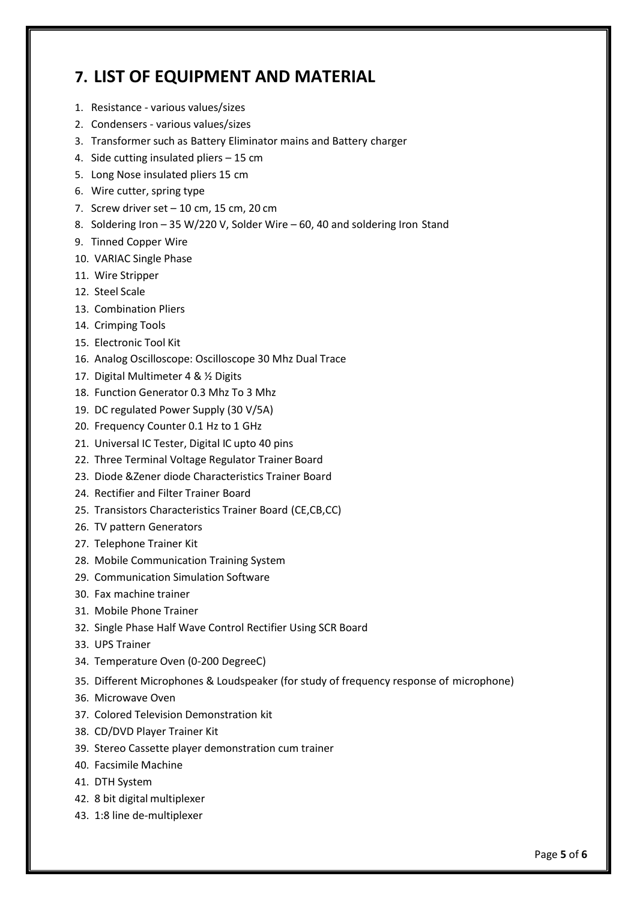# **7. LIST OF EQUIPMENT AND MATERIAL**

- 1. Resistance various values/sizes
- 2. Condensers various values/sizes
- 3. Transformer such as Battery Eliminator mains and Battery charger
- 4. Side cutting insulated pliers 15 cm
- 5. Long Nose insulated pliers 15 cm
- 6. Wire cutter, spring type
- 7. Screw driver set  $-10$  cm, 15 cm, 20 cm
- 8. Soldering Iron 35 W/220 V, Solder Wire 60, 40 and soldering Iron Stand
- 9. Tinned Copper Wire
- 10. VARIAC Single Phase
- 11. Wire Stripper
- 12. Steel Scale
- 13. Combination Pliers
- 14. Crimping Tools
- 15. Electronic Tool Kit
- 16. Analog Oscilloscope: Oscilloscope 30 Mhz Dual Trace
- 17. Digital Multimeter 4 & ½ Digits
- 18. Function Generator 0.3 Mhz To 3 Mhz
- 19. DC regulated Power Supply (30 V/5A)
- 20. Frequency Counter 0.1 Hz to 1 GHz
- 21. Universal IC Tester, Digital IC upto 40 pins
- 22. Three Terminal Voltage Regulator Trainer Board
- 23. Diode &Zener diode Characteristics Trainer Board
- 24. Rectifier and Filter Trainer Board
- 25. Transistors Characteristics Trainer Board (CE,CB,CC)
- 26. TV pattern Generators
- 27. Telephone Trainer Kit
- 28. Mobile Communication Training System
- 29. Communication Simulation Software
- 30. Fax machine trainer
- 31. Mobile Phone Trainer
- 32. Single Phase Half Wave Control Rectifier Using SCR Board
- 33. UPS Trainer
- 34. Temperature Oven (0-200 DegreeC)
- 35. Different Microphones & Loudspeaker (for study of frequency response of microphone)
- 36. Microwave Oven
- 37. Colored Television Demonstration kit
- 38. CD/DVD Player Trainer Kit
- 39. Stereo Cassette player demonstration cum trainer
- 40. Facsimile Machine
- 41. DTH System
- 42. 8 bit digital multiplexer
- 43. 1:8 line de-multiplexer